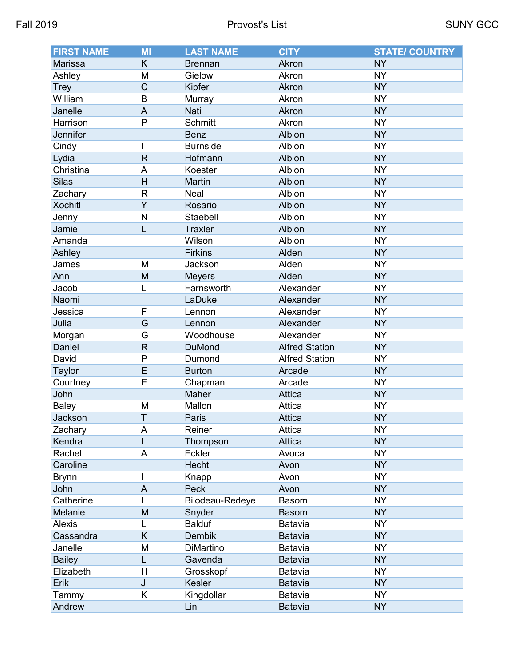| <b>FIRST NAME</b> | <b>MI</b>               | <b>LAST NAME</b> | <b>CITY</b>           | <b>STATE/ COUNTRY</b> |
|-------------------|-------------------------|------------------|-----------------------|-----------------------|
| Marissa           | K                       | <b>Brennan</b>   | Akron                 | <b>NY</b>             |
| Ashley            | M                       | Gielow           | Akron                 | <b>NY</b>             |
| <b>Trey</b>       | $\mathsf C$             | Kipfer           | Akron                 | <b>NY</b>             |
| William           | B                       | Murray           | Akron                 | <b>NY</b>             |
| Janelle           | $\mathsf{A}$            | Nati             | Akron                 | <b>NY</b>             |
| Harrison          | P                       | Schmitt          | Akron                 | <b>NY</b>             |
| Jennifer          |                         | <b>Benz</b>      | Albion                | <b>NY</b>             |
| Cindy             | I                       | <b>Burnside</b>  | Albion                | <b>NY</b>             |
| Lydia             | $\mathsf{R}$            | Hofmann          | Albion                | <b>NY</b>             |
| Christina         | A                       | Koester          | Albion                | <b>NY</b>             |
| <b>Silas</b>      | H                       | Martin           | Albion                | <b>NY</b>             |
| Zachary           | $\overline{\mathsf{R}}$ | Neal             | Albion                | <b>NY</b>             |
| <b>Xochitl</b>    | $\overline{Y}$          | Rosario          | Albion                | <b>NY</b>             |
| Jenny             | $\mathsf{N}$            | Staebell         | Albion                | <b>NY</b>             |
| Jamie             | L                       | <b>Traxler</b>   | Albion                | <b>NY</b>             |
| Amanda            |                         | Wilson           | Albion                | <b>NY</b>             |
| Ashley            |                         | <b>Firkins</b>   | Alden                 | <b>NY</b>             |
| James             | M                       | Jackson          | Alden                 | <b>NY</b>             |
| Ann               | M                       | <b>Meyers</b>    | Alden                 | <b>NY</b>             |
| Jacob             | L                       | Farnsworth       | Alexander             | <b>NY</b>             |
| Naomi             |                         | LaDuke           | Alexander             | <b>NY</b>             |
| Jessica           | F                       | Lennon           | Alexander             | <b>NY</b>             |
| Julia             | G                       | Lennon           | Alexander             | <b>NY</b>             |
| Morgan            | G                       | Woodhouse        | Alexander             | <b>NY</b>             |
| Daniel            | $\mathsf{R}$            | <b>DuMond</b>    | <b>Alfred Station</b> | <b>NY</b>             |
| David             | $\mathsf{P}$            | Dumond           | <b>Alfred Station</b> | <b>NY</b>             |
| <b>Taylor</b>     | $\overline{E}$          | <b>Burton</b>    | Arcade                | <b>NY</b>             |
| Courtney          | E                       | Chapman          | Arcade                | <b>NY</b>             |
| John              |                         | Maher            | Attica                | <b>NY</b>             |
| <b>Baley</b>      | M                       | Mallon           | Attica                | <b>NY</b>             |
| Jackson           | $\mathsf T$             | Paris            | <b>Attica</b>         | <b>NY</b>             |
| Zachary           | A                       | Reiner           | Attica                | <b>NY</b>             |
| Kendra            | L                       | Thompson         | Attica                | <b>NY</b>             |
| Rachel            | A                       | Eckler           | Avoca                 | <b>NY</b>             |
| Caroline          |                         | Hecht            | Avon                  | <b>NY</b>             |
| <b>Brynn</b>      | I                       | Knapp            | Avon                  | <b>NY</b>             |
| John              | A                       | Peck             | Avon                  | <b>NY</b>             |
| Catherine         | L                       | Bilodeau-Redeye  | Basom                 | <b>NY</b>             |
| Melanie           | M                       | Snyder           | <b>Basom</b>          | <b>NY</b>             |
| <b>Alexis</b>     | L                       | <b>Balduf</b>    | Batavia               | <b>NY</b>             |
| Cassandra         | K                       | Dembik           | Batavia               | <b>NY</b>             |
| Janelle           | M                       | DiMartino        | Batavia               | <b>NY</b>             |
| <b>Bailey</b>     | L                       | Gavenda          | Batavia               | <b>NY</b>             |
| Elizabeth         | H                       | Grosskopf        | Batavia               | <b>NY</b>             |
| Erik              | J                       | Kesler           | Batavia               | <b>NY</b>             |
| Tammy             | K                       | Kingdollar       | Batavia               | <b>NY</b>             |
| Andrew            |                         | Lin              | <b>Batavia</b>        | <b>NY</b>             |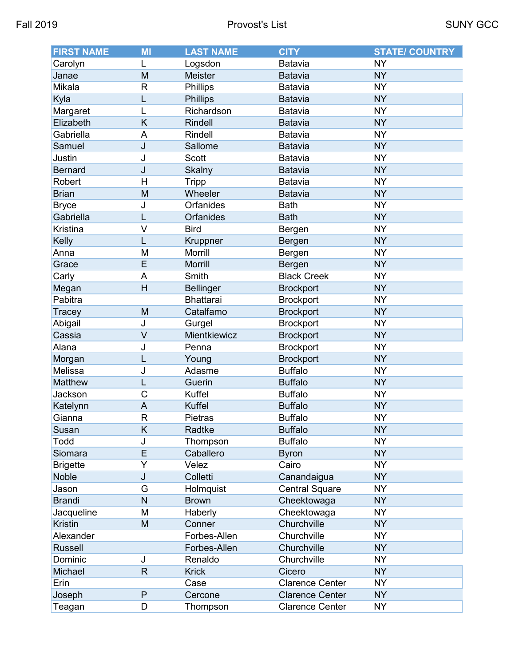| <b>FIRST NAME</b> | MI             | <b>LAST NAME</b> | <b>CITY</b>            | <b>STATE/ COUNTRY</b> |
|-------------------|----------------|------------------|------------------------|-----------------------|
| Carolyn           | L              | Logsdon          | Batavia                | <b>NY</b>             |
| Janae             | M              | Meister          | <b>Batavia</b>         | <b>NY</b>             |
| Mikala            | R              | <b>Phillips</b>  | Batavia                | <b>NY</b>             |
| Kyla              | L              | <b>Phillips</b>  | Batavia                | <b>NY</b>             |
| Margaret          |                | Richardson       | Batavia                | <b>NY</b>             |
| Elizabeth         | K              | Rindell          | Batavia                | <b>NY</b>             |
| Gabriella         | A              | Rindell          | Batavia                | <b>NY</b>             |
| Samuel            | J              | Sallome          | <b>Batavia</b>         | <b>NY</b>             |
| Justin            | J              | <b>Scott</b>     | Batavia                | <b>NY</b>             |
| <b>Bernard</b>    | J              | Skalny           | Batavia                | <b>NY</b>             |
| Robert            | $\mathsf{H}$   | <b>Tripp</b>     | Batavia                | <b>NY</b>             |
| <b>Brian</b>      | M              | Wheeler          | <b>Batavia</b>         | <b>NY</b>             |
| <b>Bryce</b>      | J              | <b>Orfanides</b> | <b>Bath</b>            | <b>NY</b>             |
| Gabriella         | L              | Orfanides        | <b>Bath</b>            | <b>NY</b>             |
| Kristina          | $\vee$         | <b>Bird</b>      | Bergen                 | <b>NY</b>             |
| Kelly             |                | Kruppner         | Bergen                 | <b>NY</b>             |
| Anna              | M              | Morrill          | Bergen                 | <b>NY</b>             |
| Grace             | E              | Morrill          | Bergen                 | <b>NY</b>             |
| Carly             | A              | Smith            | <b>Black Creek</b>     | <b>NY</b>             |
| Megan             | H              | <b>Bellinger</b> | <b>Brockport</b>       | <b>NY</b>             |
| Pabitra           |                | <b>Bhattarai</b> | <b>Brockport</b>       | <b>NY</b>             |
| Tracey            | M              | Catalfamo        | <b>Brockport</b>       | <b>NY</b>             |
| Abigail           | J              | Gurgel           | <b>Brockport</b>       | <b>NY</b>             |
| Cassia            | $\vee$         | Mientkiewicz     | <b>Brockport</b>       | <b>NY</b>             |
| Alana             | J              | Penna            | <b>Brockport</b>       | <b>NY</b>             |
| Morgan            | L              | Young            | <b>Brockport</b>       | <b>NY</b>             |
| Melissa           | J              | Adasme           | <b>Buffalo</b>         | <b>NY</b>             |
| Matthew           | L              | Guerin           | <b>Buffalo</b>         | <b>NY</b>             |
| Jackson           | C              | Kuffel           | <b>Buffalo</b>         | <b>NY</b>             |
| Katelynn          | $\overline{A}$ | <b>Kuffel</b>    | <b>Buffalo</b>         | <b>NY</b>             |
| Gianna            | $\mathsf R$    | Pietras          | <b>Buffalo</b>         | <b>NY</b>             |
| Susan             | K              | Radtke           | <b>Buffalo</b>         | <b>NY</b>             |
| Todd              | J              | Thompson         | <b>Buffalo</b>         | <b>NY</b>             |
| Siomara           | E              | Caballero        | <b>Byron</b>           | <b>NY</b>             |
| <b>Brigette</b>   | Y              | Velez            | Cairo                  | <b>NY</b>             |
| <b>Noble</b>      | J              | Colletti         | Canandaigua            | <b>NY</b>             |
| Jason             | G              | Holmquist        | <b>Central Square</b>  | <b>NY</b>             |
| <b>Brandi</b>     | N              | <b>Brown</b>     | Cheektowaga            | <b>NY</b>             |
| Jacqueline        | M              | Haberly          | Cheektowaga            | <b>NY</b>             |
| <b>Kristin</b>    | M              | Conner           | Churchville            | <b>NY</b>             |
| Alexander         |                | Forbes-Allen     | Churchville            | <b>NY</b>             |
| <b>Russell</b>    |                | Forbes-Allen     | Churchville            | <b>NY</b>             |
| Dominic           | J              | Renaldo          | Churchville            | <b>NY</b>             |
| Michael           | $\mathsf{R}$   | <b>Krick</b>     | Cicero                 | <b>NY</b>             |
| Erin              |                | Case             | <b>Clarence Center</b> | <b>NY</b>             |
| Joseph            | ${\sf P}$      | Cercone          | <b>Clarence Center</b> | <b>NY</b>             |
| Teagan            | D              | Thompson         | <b>Clarence Center</b> | <b>NY</b>             |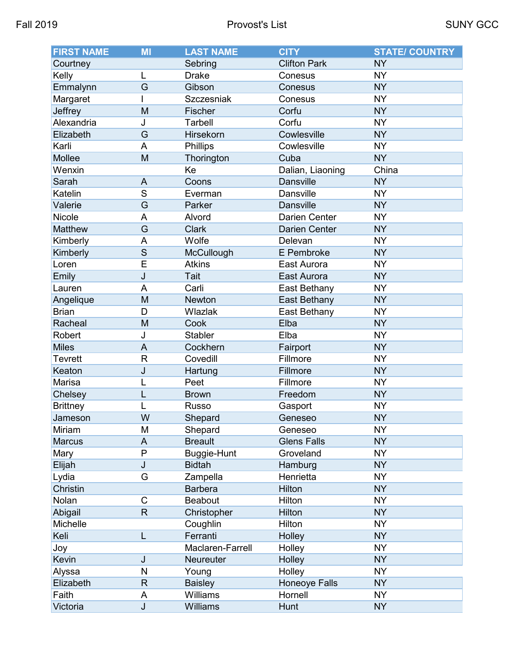| <b>FIRST NAME</b> | MI                      | <b>LAST NAME</b> | <b>CITY</b>          | <b>STATE/ COUNTRY</b> |
|-------------------|-------------------------|------------------|----------------------|-----------------------|
| Courtney          |                         | Sebring          | <b>Clifton Park</b>  | <b>NY</b>             |
| Kelly             | L                       | <b>Drake</b>     | Conesus              | <b>NY</b>             |
| Emmalynn          | G                       | Gibson           | Conesus              | <b>NY</b>             |
| Margaret          |                         | Szczesniak       | Conesus              | <b>NY</b>             |
| Jeffrey           | M                       | Fischer          | Corfu                | <b>NY</b>             |
| Alexandria        | J                       | <b>Tarbell</b>   | Corfu                | <b>NY</b>             |
| Elizabeth         | G                       | Hirsekorn        | Cowlesville          | <b>NY</b>             |
| Karli             | A                       | <b>Phillips</b>  | Cowlesville          | <b>NY</b>             |
| Mollee            | M                       | Thorington       | Cuba                 | <b>NY</b>             |
| Wenxin            |                         | Ke               | Dalian, Liaoning     | China                 |
| Sarah             | A                       | Coons            | <b>Dansville</b>     | <b>NY</b>             |
| Katelin           | S                       | Everman          | <b>Dansville</b>     | <b>NY</b>             |
| Valerie           | $\overline{G}$          | Parker           | <b>Dansville</b>     | <b>NY</b>             |
| Nicole            | A                       | Alvord           | <b>Darien Center</b> | <b>NY</b>             |
| Matthew           | G                       | <b>Clark</b>     | <b>Darien Center</b> | <b>NY</b>             |
| Kimberly          | A                       | Wolfe            | Delevan              | <b>NY</b>             |
| Kimberly          | S                       | McCullough       | E Pembroke           | <b>NY</b>             |
| Loren             | E                       | <b>Atkins</b>    | East Aurora          | <b>NY</b>             |
| Emily             | J                       | Tait             | East Aurora          | <b>NY</b>             |
| Lauren            | A                       | Carli            | East Bethany         | <b>NY</b>             |
| Angelique         | M                       | Newton           | East Bethany         | <b>NY</b>             |
| <b>Brian</b>      | D                       | Wlazlak          | East Bethany         | <b>NY</b>             |
| Racheal           | M                       | Cook             | Elba                 | <b>NY</b>             |
| Robert            | J                       | <b>Stabler</b>   | Elba                 | <b>NY</b>             |
| <b>Miles</b>      | A                       | Cockhern         | Fairport             | <b>NY</b>             |
| <b>Tevrett</b>    | $\mathsf{R}$            | Covedill         | Fillmore             | <b>NY</b>             |
| Keaton            | J                       | Hartung          | Fillmore             | <b>NY</b>             |
| Marisa            |                         | Peet             | Fillmore             | <b>NY</b>             |
| Chelsey           | L                       | <b>Brown</b>     | Freedom              | <b>NY</b>             |
| <b>Brittney</b>   |                         | <b>Russo</b>     | Gasport              | <b>NY</b>             |
| Jameson           | W                       | Shepard          | Geneseo              | <b>NY</b>             |
| Miriam            | M                       | Shepard          | Geneseo              | <b>NY</b>             |
| <b>Marcus</b>     | A                       | <b>Breault</b>   | <b>Glens Falls</b>   | <b>NY</b>             |
| Mary              | P                       | Buggie-Hunt      | Groveland            | <b>NY</b>             |
| Elijah            | J                       | <b>Bidtah</b>    | Hamburg              | <b>NY</b>             |
| Lydia             | G                       | Zampella         | Henrietta            | <b>NY</b>             |
| <b>Christin</b>   |                         | <b>Barbera</b>   | Hilton               | <b>NY</b>             |
| Nolan             | C                       | Beabout          | Hilton               | <b>NY</b>             |
| Abigail           | $\mathsf{R}$            | Christopher      | Hilton               | <b>NY</b>             |
| Michelle          |                         | Coughlin         | Hilton               | <b>NY</b>             |
| Keli              | L                       | Ferranti         | Holley               | <b>NY</b>             |
| Joy               |                         | Maclaren-Farrell | Holley               | <b>NY</b>             |
| Kevin             | J                       | Neureuter        | Holley               | <b>NY</b>             |
| Alyssa            | N                       | Young            | Holley               | <b>NY</b>             |
| Elizabeth         | $\mathsf R$             | <b>Baisley</b>   | Honeoye Falls        | <b>NY</b>             |
| Faith             | A                       | Williams         | Hornell              | <b>NY</b>             |
| Victoria          | $\overline{\mathsf{J}}$ | Williams         | Hunt                 | <b>NY</b>             |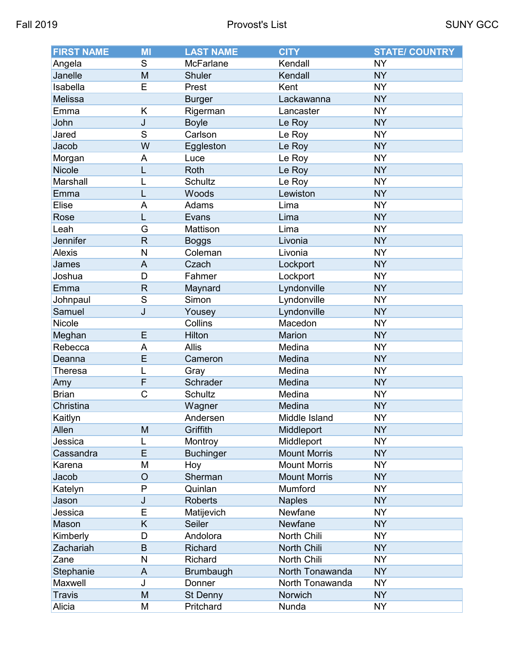| <b>FIRST NAME</b> | MI             | <b>LAST NAME</b> | <b>CITY</b>         | <b>STATE/ COUNTRY</b> |
|-------------------|----------------|------------------|---------------------|-----------------------|
| Angela            | S              | <b>McFarlane</b> | Kendall             | <b>NY</b>             |
| Janelle           | M              | Shuler           | Kendall             | <b>NY</b>             |
| Isabella          | E              | Prest            | Kent                | <b>NY</b>             |
| Melissa           |                | <b>Burger</b>    | Lackawanna          | <b>NY</b>             |
| Emma              | K              | Rigerman         | Lancaster           | <b>NY</b>             |
| John              | J              | <b>Boyle</b>     | Le Roy              | <b>NY</b>             |
| Jared             | S              | Carlson          | Le Roy              | <b>NY</b>             |
| Jacob             | W              | Eggleston        | Le Roy              | <b>NY</b>             |
| Morgan            | A              | Luce             | Le Roy              | <b>NY</b>             |
| Nicole            | L              | Roth             | Le Roy              | <b>NY</b>             |
| Marshall          |                | Schultz          | Le Roy              | <b>NY</b>             |
| Emma              |                | Woods            | Lewiston            | <b>NY</b>             |
| Elise             | A              | Adams            | Lima                | <b>NY</b>             |
| Rose              | L              | Evans            | Lima                | <b>NY</b>             |
| Leah              | G              | Mattison         | Lima                | <b>NY</b>             |
| Jennifer          | R              | <b>Boggs</b>     | Livonia             | <b>NY</b>             |
| <b>Alexis</b>     | N              | Coleman          | Livonia             | <b>NY</b>             |
| James             | $\overline{A}$ | Czach            | Lockport            | <b>NY</b>             |
| Joshua            | D              | Fahmer           | Lockport            | <b>NY</b>             |
| Emma              | R              | Maynard          | Lyndonville         | <b>NY</b>             |
| Johnpaul          | S              | Simon            | Lyndonville         | <b>NY</b>             |
| Samuel            | J              | Yousey           | Lyndonville         | <b>NY</b>             |
| Nicole            |                | Collins          | Macedon             | <b>NY</b>             |
| Meghan            | E              | Hilton           | Marion              | <b>NY</b>             |
| Rebecca           | A              | <b>Allis</b>     | Medina              | <b>NY</b>             |
| Deanna            | Ē              | Cameron          | Medina              | <b>NY</b>             |
| Theresa           |                | Gray             | Medina              | <b>NY</b>             |
| Amy               | F              | Schrader         | Medina              | <b>NY</b>             |
| <b>Brian</b>      | C              | Schultz          | Medina              | <b>NY</b>             |
| Christina         |                | Wagner           | Medina              | <b>NY</b>             |
| Kaitlyn           |                | Andersen         | Middle Island       | <b>NY</b>             |
| Allen             | M              | Griffith         | Middleport          | <b>NY</b>             |
| Jessica           |                | Montroy          | Middleport          | <b>NY</b>             |
| Cassandra         | E              | <b>Buchinger</b> | <b>Mount Morris</b> | <b>NY</b>             |
| Karena            | M              | Hoy              | <b>Mount Morris</b> | <b>NY</b>             |
| Jacob             | O              | Sherman          | <b>Mount Morris</b> | <b>NY</b>             |
| Katelyn           | Ρ              | Quinlan          | Mumford             | <b>NY</b>             |
| Jason             | J              | <b>Roberts</b>   | <b>Naples</b>       | <b>NY</b>             |
| Jessica           | E              | Matijevich       | Newfane             | <b>NY</b>             |
| Mason             | Κ              | Seiler           | Newfane             | <b>NY</b>             |
| Kimberly          | D              | Andolora         | North Chili         | <b>NY</b>             |
| Zachariah         | B              | Richard          | North Chili         | <b>NY</b>             |
| Zane              | Ν              | Richard          | North Chili         | <b>NY</b>             |
| Stephanie         | A              | Brumbaugh        | North Tonawanda     | <b>NY</b>             |
| Maxwell           | J              | Donner           | North Tonawanda     | <b>NY</b>             |
| <b>Travis</b>     | M              | St Denny         | Norwich             | <b>NY</b>             |
| Alicia            | M              | Pritchard        | Nunda               | <b>NY</b>             |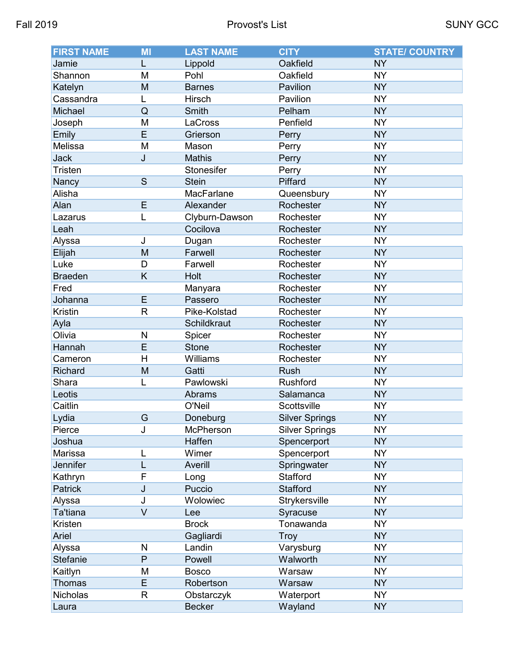| <b>FIRST NAME</b> | MI           | <b>LAST NAME</b> | <b>CITY</b>           | <b>STATE/ COUNTRY</b> |
|-------------------|--------------|------------------|-----------------------|-----------------------|
| Jamie             | L            | Lippold          | Oakfield              | <b>NY</b>             |
| Shannon           | M            | Pohl             | Oakfield              | <b>NY</b>             |
| Katelyn           | M            | <b>Barnes</b>    | Pavilion              | <b>NY</b>             |
| Cassandra         | L            | Hirsch           | Pavilion              | <b>NY</b>             |
| Michael           | Q            | Smith            | Pelham                | <b>NY</b>             |
| Joseph            | M            | LaCross          | Penfield              | <b>NY</b>             |
| Emily             | E            | Grierson         | Perry                 | <b>NY</b>             |
| Melissa           | M            | Mason            | Perry                 | <b>NY</b>             |
| <b>Jack</b>       | J            | Mathis           | Perry                 | <b>NY</b>             |
| <b>Tristen</b>    |              | Stonesifer       | Perry                 | <b>NY</b>             |
| Nancy             | S            | <b>Stein</b>     | Piffard               | <b>NY</b>             |
| Alisha            |              | MacFarlane       | Queensbury            | <b>NY</b>             |
| Alan              | E            | Alexander        | Rochester             | <b>NY</b>             |
| Lazarus           | L            | Clyburn-Dawson   | Rochester             | <b>NY</b>             |
| Leah              |              | Cocilova         | Rochester             | <b>NY</b>             |
| Alyssa            | J            | Dugan            | Rochester             | <b>NY</b>             |
| Elijah            | M            | Farwell          | Rochester             | <b>NY</b>             |
| Luke              | D            | Farwell          | Rochester             | <b>NY</b>             |
| <b>Braeden</b>    | Κ            | Holt             | Rochester             | <b>NY</b>             |
| Fred              |              | Manyara          | Rochester             | <b>NY</b>             |
| Johanna           | E            | Passero          | Rochester             | <b>NY</b>             |
| <b>Kristin</b>    | $\mathsf{R}$ | Pike-Kolstad     | Rochester             | <b>NY</b>             |
| Ayla              |              | Schildkraut      | Rochester             | <b>NY</b>             |
| Olivia            | N            | Spicer           | Rochester             | <b>NY</b>             |
| Hannah            | E            | Stone            | Rochester             | <b>NY</b>             |
| Cameron           | H            | Williams         | Rochester             | <b>NY</b>             |
| Richard           | M            | Gatti            | <b>Rush</b>           | <b>NY</b>             |
| Shara             |              | Pawlowski        | Rushford              | <b>NY</b>             |
| Leotis            |              | <b>Abrams</b>    | Salamanca             | <b>NY</b>             |
| Caitlin           |              | O'Neil           | Scottsville           | <b>NY</b>             |
| Lydia             | G            | Doneburg         | <b>Silver Springs</b> | <b>NY</b>             |
| Pierce            | J            | McPherson        | <b>Silver Springs</b> | <b>NY</b>             |
| Joshua            |              | Haffen           | Spencerport           | <b>NY</b>             |
| Marissa           | L            | Wimer            | Spencerport           | <b>NY</b>             |
| Jennifer          |              | Averill          | Springwater           | <b>NY</b>             |
| Kathryn           | F            | Long             | Stafford              | <b>NY</b>             |
| Patrick           | J            | Puccio           | Stafford              | <b>NY</b>             |
| Alyssa            | J            | Wolowiec         | Strykersville         | <b>NY</b>             |
| Ta'tiana          | $\vee$       | Lee              | Syracuse              | <b>NY</b>             |
| Kristen           |              | <b>Brock</b>     | Tonawanda             | <b>NY</b>             |
| Ariel             |              | Gagliardi        | Troy                  | <b>NY</b>             |
| Alyssa            | N            | Landin           | Varysburg             | <b>NY</b>             |
| <b>Stefanie</b>   | P            | Powell           | Walworth              | <b>NY</b>             |
| Kaitlyn           | M            | <b>Bosco</b>     | Warsaw                | <b>NY</b>             |
| Thomas            | E            | Robertson        | Warsaw                | <b>NY</b>             |
| Nicholas          | R            | Obstarczyk       | Waterport             | <b>NY</b>             |
| Laura             |              | <b>Becker</b>    | Wayland               | <b>NY</b>             |